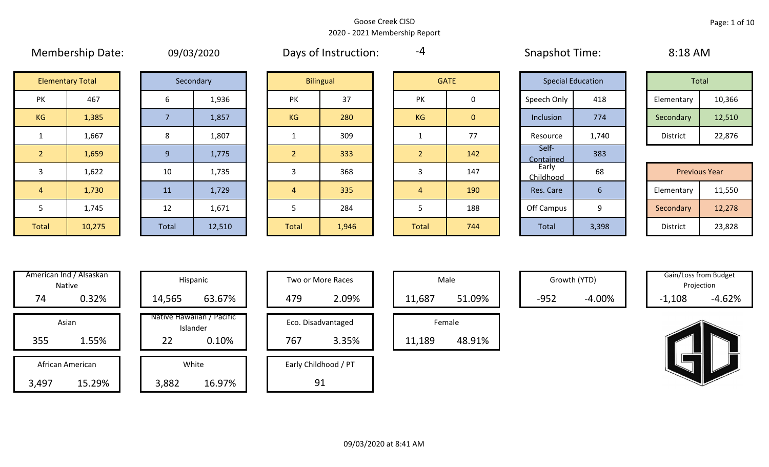|                | <b>IVICITIVEISIIID DATE.</b> |    | US/US/ZUZU |                | Days OF HISLIQUEDIT. | $\mathbf{r}$   |              | <b>SHAPSHOL TIME.</b>    |     |
|----------------|------------------------------|----|------------|----------------|----------------------|----------------|--------------|--------------------------|-----|
|                | <b>Elementary Total</b>      |    | Secondary  |                | <b>Bilingual</b>     |                | <b>GATE</b>  | <b>Special Education</b> |     |
| PK             | 467                          | 6  | 1,936      | PK             | 37                   | <b>PK</b>      | 0            | Speech Only              | 41  |
| KG             | 1,385                        |    | 1,857      | <b>KG</b>      | 280                  | KG             | $\mathbf{0}$ | Inclusion                | 77  |
|                | 1,667                        | 8  | 1,807      |                | 309                  | 1              | 77           | Resource                 | 1,7 |
| 2 <sup>1</sup> | 1,659                        | 9  | 1,775      | $\overline{2}$ | 333                  | $\overline{2}$ | 142          | Self-<br>Contained       | 38  |
| 3              | 1,622                        | 10 | 1,735      | 3              | 368                  | 3              | 147          | Early<br>Childhood       | 68  |
| $\overline{4}$ | 1,730                        | 11 | 1,729      | $\overline{4}$ | 335                  | $\overline{4}$ | 190          | Res. Care                | 6   |
| 5              | 1,745                        | 12 | 1,671      | 5              | 284                  | 5              | 188          | Off Campus               | 9   |
|                |                              |    |            |                |                      |                |              |                          |     |

| 09/03/2020 |
|------------|
|------------|

Membership Date: 09/03/2020 Snapshot Time: 8:18 AM Days of Instruction:

-4

Contained 383

|                    | <b>Elementary Total</b> |  | Secondary |    | <b>Bilingual</b> |           | <b>GATE</b> |             | <b>Special Education</b> | Total      |        |
|--------------------|-------------------------|--|-----------|----|------------------|-----------|-------------|-------------|--------------------------|------------|--------|
| שנ<br>$\mathbf{N}$ | 467                     |  | 1,936     | PK | 37               | PK        |             | Speech Only | 418                      | Elementary | 10,366 |
| G                  | 1,385                   |  | 1,857     | KG | 280              | <b>KG</b> | 0           | Inclusion   | 774                      | Secondary  | 12,510 |
|                    | 1,667                   |  | 1,807     |    | 309              |           | 77          | Resource    | 1,740                    | District   | 22,876 |

|       |        |          |        |              |       |       |     | ------------       |       |                      |        |
|-------|--------|----------|--------|--------------|-------|-------|-----|--------------------|-------|----------------------|--------|
|       | 1,622  | 10       | 1,735  |              | 368   |       | 147 | Early<br>childhood | 68    | <b>Previous Year</b> |        |
| 4     | 1,730  | 11       | 1,729  |              | 335   |       | 190 | Res. Care          |       | Elementary           | 11,550 |
|       | 1,745  | 12<br>ᅩᄼ | 1,671  |              | 284   |       | 188 | Off Campus         |       | Secondary            | 12,278 |
| Total | 10,275 | Total    | 12,510 | <b>Total</b> | 1,946 | Total | 744 | Total              | 3,398 | District             | 23,828 |

|       | American Ind / Alsaskan<br><b>Native</b> | Hispani                          |
|-------|------------------------------------------|----------------------------------|
| 74    | 0.32%                                    | 14,565                           |
| 355   | Asian<br>1.55%                           | Native Hawaiiar<br>Islande<br>22 |
|       |                                          |                                  |
|       | African American                         | White                            |
| 3,497 | 15.29%                                   | 3,882                            |

| American ind / Alsaskan<br>Native   | Hispanic                                             | Two or More Races                  | Male                       |        | Growth (YTD) | Gain/Loss from Budget<br>Projection |          |
|-------------------------------------|------------------------------------------------------|------------------------------------|----------------------------|--------|--------------|-------------------------------------|----------|
| 74<br>0.32%                         | 63.67%<br>14,565                                     | 2.09%<br>479                       | 51.09%<br>11,687           | $-952$ | $-4.00\%$    | $-1,108$                            | $-4.62%$ |
| Asian<br>1.55%<br>355               | Native Hawaiian / Pacific<br>Islander<br>22<br>0.10% | Eco. Disadvantaged<br>3.35%<br>767 | Female<br>48.91%<br>11,189 |        |              |                                     |          |
| African American<br>15.29%<br>3,497 | White<br>16.97%<br>3,882                             | Early Childhood / PT<br>91         |                            |        |              |                                     |          |

| Hispanic                                | Two or More Races                  | Male                  |
|-----------------------------------------|------------------------------------|-----------------------|
| 63.67%                                  | 2.09%<br>479                       | 11,687                |
| lawaiian / Pacific<br>Islander<br>0.10% | Eco. Disadvantaged<br>3.35%<br>767 | Female<br>11,189<br>ı |
| White<br>16.97%                         | Early Childhood / PT<br>91         |                       |

|        | Male   |  |
|--------|--------|--|
| 11,687 | 51.09% |  |
|        | Female |  |
| 11,189 | 48.91% |  |

Growth (YTD) Gain/Loss from Budget Projection

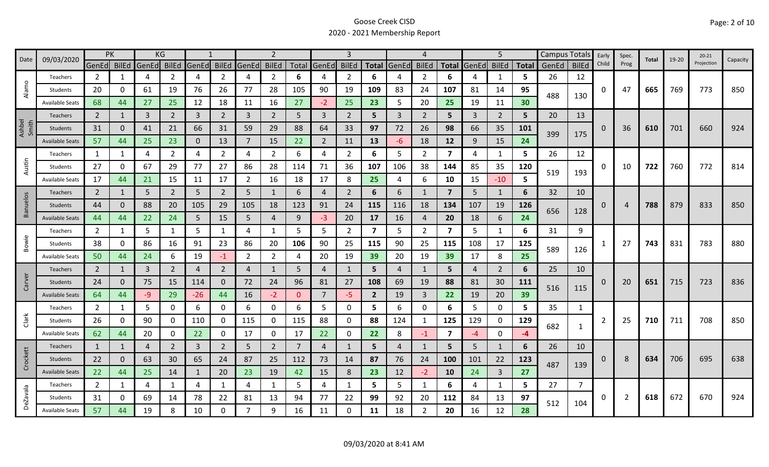| 09/03/2020<br>Date |                        | PK             |              |             | KG             |                |                |                | 2              |                |                   | 3              |                         |              | 4              |                         |                | 5              |              | Campus Totals |              | Early        | Spec.          | Total | 19-20 | $20 - 21$  | Capacity |
|--------------------|------------------------|----------------|--------------|-------------|----------------|----------------|----------------|----------------|----------------|----------------|-------------------|----------------|-------------------------|--------------|----------------|-------------------------|----------------|----------------|--------------|---------------|--------------|--------------|----------------|-------|-------|------------|----------|
|                    |                        | GenEd BilEd    |              | GenEd BilEd |                | GenEd          | <b>BilEd</b>   | GenEd          | <b>BilEd</b>   |                | Total GenEd BilEd |                |                         | Total GenEd  | <b>BilEd</b>   | Total                   | GenEd BilEd    |                | <b>Total</b> | GenEd         | <b>BilEd</b> | Child        | Prog           |       |       | Projection |          |
|                    | Teachers               | $\overline{2}$ | 1            | 4           | 2              | 4              | $\overline{2}$ | 4              | $\overline{2}$ | 6              | 4                 | 2              | 6                       |              | 2              | 6                       |                | 1              | 5.           | 26            | 12           |              |                |       |       |            |          |
| Alamo              | Students               | 20             | 0            | 61          | 19             | 76             | 26             | 77             | 28             | 105            | 90                | 19             | 109                     | 83           | 24             | 107                     | 81             | 14             | 95           | 488           | 130          | 0            | 47             | 665   | 769   | 773        | 850      |
|                    | <b>Available Seats</b> | 68             | 44           | 27          | 25             | 12             | 18             | 11             | 16             | 27             | $-2$              | 25             | 23                      | 5            | 20             | 25                      | 19             | 11             | 30           |               |              |              |                |       |       |            |          |
|                    | Teachers               | $\overline{2}$ | 1            | 3           | $\overline{2}$ | $\overline{3}$ | $\overline{2}$ | 3              | $\overline{2}$ | 5              | 3                 | $\overline{2}$ | 5                       | $\mathbf{3}$ | 2              | 5                       | 3              | $\overline{2}$ | 5            | 20            | 13           |              |                |       |       |            |          |
| Ashbel<br>Smith    | Students               | 31             | 0            | 41          | 21             | 66             | 31             | 59             | 29             | 88             | 64                | 33             | 97                      | 72           | 26             | 98                      | 66             | 35             | <b>101</b>   | 399           |              | 0            | 36             | 610   | 701   | 660        | 924      |
|                    | <b>Available Seats</b> | 57             | 44           | 25          | 23             | $\mathbf{0}$   | 13             | 7              | 15             | 22             | $\overline{2}$    | 11             | 13                      | -6           | 18             | 12                      | 9              | 15             | 24           |               | 175          |              |                |       |       |            |          |
|                    | Teachers               | 1              |              | 4           | 2              | 4              | 2              | 4              | 2              | 6              | 4                 | $\overline{2}$ | 6                       | 5            | 2              | 7                       | 4              | 1              | 5            | 26            | 12           |              |                |       |       |            |          |
| Austin             | Students               | 27             | 0            | 67          | 29             | 77             | 27             | 86             | 28             | 114            | 71                | 36             | 107                     | 106          | 38             | 144                     | 85             | 35             | 120          |               |              | 0            | 10             | 722   | 760   | 772        | 814      |
|                    | <b>Available Seats</b> | 17             | 44           | 21          | 15             | 11             | 17             | 2              | 16             | 18             | 17                | 8              | 25                      | 4            | 6              | 10                      | 15             | $-10$          | 5            | 519           | 193          |              |                |       |       |            |          |
|                    | Teachers               | $\overline{2}$ | 1            | 5           | $\overline{2}$ | 5              | $\overline{2}$ | 5              | 1              | 6              | 4                 | $\overline{2}$ | 6                       | 6            | 1              | $\overline{7}$          | 5              | 1              | 6            | 32            | 10           |              |                |       |       |            |          |
| <b>Banuelos</b>    | Students               | 44             | $\Omega$     | 88          | 20             | 105            | 29             | 105            | 18             | 123            | 91                | 24             | 115                     | 116          | 18             | 134                     | 107            | 19             | 126          |               |              | 0            | 4              | 788   | 879   | 833        | 850      |
|                    | <b>Available Seats</b> | 44             | 44           | 22          | 24             | 5              | 15             | 5              | $\overline{4}$ | 9              | $-3$              | 20             | 17                      | 16           | 4              | 20                      | 18             | 6              | 24           | 656           | 128          |              |                |       |       |            |          |
|                    | Teachers               | $\overline{2}$ | $\mathbf{1}$ | 5           | 1              | 5              | 1              | 4              | 1              | 5              | 5                 | $\overline{2}$ | $\overline{\mathbf{z}}$ | 5            | 2              | $\overline{\mathbf{z}}$ | 5              | $\mathbf{1}$   | 6            | 31            | 9            |              |                |       |       |            |          |
| Bowie              | Students               | 38             | 0            | 86          | 16             | 91             | 23             | 86             | 20             | 106            | 90                | 25             | 115                     | 90           | 25             | 115                     | 108            | 17             | 125          |               |              |              | 27             | 743   | 831   | 783        | 880      |
|                    | <b>Available Seats</b> | 50             | 44           | 24          | 6              | 19             | $-1$           | $\overline{2}$ | $\overline{2}$ | 4              | 20                | 19             | 39                      | 20           | 19             | 39                      | 17             | 8              | 25           | 589           | 126          |              |                |       |       |            |          |
|                    | <b>Teachers</b>        | $\overline{2}$ | $\mathbf{1}$ | 3           | $\overline{2}$ | $\overline{a}$ | $\overline{2}$ | 4              | 1              | 5              | 4                 |                | 5                       | Δ            | $\mathbf{1}$   | 5                       | $\overline{4}$ | $\overline{2}$ | 6            | 25            | 10           |              |                |       |       |            |          |
| Carver             | <b>Students</b>        | 24             | 0            | 75          | 15             | 114            | $\mathbf 0$    | 72             | 24             | 96             | 81                | 27             | 108                     | 69           | 19             | 88                      | 81             | 30             | 111          |               |              | 0            | 20             | 651   | 715   | 723        | 836      |
|                    | <b>Available Seats</b> | 64             | 44           | -9          | 29             | $-26$          | 44             | 16             | $-2$           | $\mathbf{0}$   | $\overline{7}$    | $-5$           | $\overline{2}$          | 19           | $\overline{3}$ | 22                      | 19             | 20             | 39           | 516           | 115          |              |                |       |       |            |          |
|                    | Teachers               | $\overline{2}$ | 1            | 5           | 0              | 6              | $\mathbf{0}$   | 6              | 0              | 6              | 5                 | 0              | 5                       | 6            | 0              | 6                       | 5              | $\Omega$       | 5            | 35            | $\mathbf{1}$ |              |                |       |       |            |          |
| Clark              | Students               | 26             | 0            | 90          | 0              | 110            | $\mathbf{0}$   | 115            | 0              | 115            | 88                | 0              | 88                      | 124          | -1             | 125                     | 129            | 0              | 129          |               |              | 2            | 25             | 710   | 711   | 708        | 850      |
|                    | <b>Available Seats</b> | 62             | 44           | 20          | 0              | 22             | 0              | 17             | 0              | 17             | 22                | 0              | 22                      | 8            | $-1$           | $\overline{7}$          | $-4$           | $\mathbf 0$    | $-4$         | 682           | 1            |              |                |       |       |            |          |
|                    | Teachers               | 1              | 1            | 4           | $\overline{2}$ | 3              | $\overline{2}$ | 5              | $\overline{2}$ | $\overline{7}$ | 4                 |                | 5                       | 4            | 1              | 5                       | 5              | 1              | 6            | 26            | 10           |              |                |       |       |            |          |
| Crockett           | Students               | 22             | $\Omega$     | 63          | 30             | 65             | 24             | 87             | 25             | 112            | 73                | 14             | 87                      | 76           | 24             | 100                     | 101            | 22             | 123          |               |              | $\mathbf{0}$ | 8              | 634   | 706   | 695        | 638      |
|                    | <b>Available Seats</b> | 22             | 44           | 25          | 14             | $\mathbf{1}$   | 20             | 23             | 19             | 42             | 15                | 8              | 23                      | 12           | $-2$           | 10                      | 24             | $\overline{3}$ | 27           | 487           | 139          |              |                |       |       |            |          |
|                    | <b>Teachers</b>        | $\overline{2}$ | 1            | 4           | 1              | 4              | 1              | 4              | 1              | 5              | 4                 | $\mathbf{1}$   | 5                       | 5            | $\mathbf{1}$   | 6                       | 4              | $\mathbf{1}$   | 5.           | 27            |              |              |                |       |       |            |          |
| <b>DeZavala</b>    | Students               | 31             | 0            | 69          | 14             | 78             | 22             | 81             | 13             | 94             | 77                | 22             | 99                      | 92           | 20             | 112                     | 84             | 13             | 97           |               |              | 0            | $\overline{2}$ | 618   | 672   | 670        | 924      |
|                    | Available Seats        | 57             | 44           | 19          | 8              | 10             | 0              | $\overline{7}$ | 9              | 16             | 11                | 0              | 11                      | 18           | $\overline{2}$ | 20                      | 16             | 12             | 28           | 512           | 104          |              |                |       |       |            |          |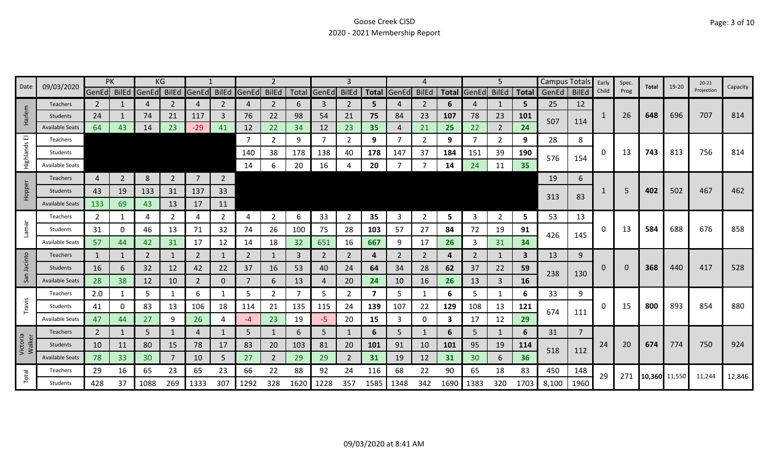| 09/03/2020<br>Date |                        |                | PK             |       | KG             |                |                |             |                |      |             | 3              |                         |             |              |      |                   | 5              |      | Campus Totals |                | Early       | Spec. | Total         | 19-20 | $20 - 21$  | Capacity |
|--------------------|------------------------|----------------|----------------|-------|----------------|----------------|----------------|-------------|----------------|------|-------------|----------------|-------------------------|-------------|--------------|------|-------------------|----------------|------|---------------|----------------|-------------|-------|---------------|-------|------------|----------|
|                    |                        | GenEd BilEd    |                | GenEd | <b>BilEd</b>   | GenEd          | <b>BilEd</b>   | GenEd BilEd |                |      | Total GenEd | <b>BilEd</b>   |                         | Total GenEd | <b>BilEd</b> |      | Total GenEd BilEd |                |      | Total GenEd   | <b>BilEd</b>   | Child       | Prog  |               |       | Projection |          |
|                    | <b>Teachers</b>        | $\mathbf{2}$   |                | 4     | 2              | 4              | 2              | 4           | $\overline{2}$ | 6    | 3           | 2              | 5.                      |             | 2            | 6    | 4                 |                | 5    | 25            | 12             |             |       |               |       |            |          |
| Harlem             | Students               | 24             |                | 74    | 21             | 117            | 3              | 76          | 22             | 98   | 54          | 21             | 75                      | 84          | 23           | 107  | 78                | 23             | 101  | 507           | 114            | 1           | 26    | 648           | 696   | 707        | 814      |
|                    | <b>Available Seats</b> | 64             | 43             | 14    | 23             | $-29$          | 41             | 12          | 22             | 34   | 12          | 23             | 35                      | 4           | 21           | 25   | 22                | $\overline{2}$ | 24   |               |                |             |       |               |       |            |          |
| ш                  | Teachers               |                |                |       |                |                |                | 7           | $\mathbf{2}$   | 9    | 7           | 2              | 9                       |             | 2            | 9    | -7                | $\overline{2}$ | 9    | 28            | 8              |             |       |               |       |            |          |
| Highlands          | Students               |                |                |       |                |                |                | 140         | 38             | 178  | 138         | 40             | 178                     | 147         | 37           | 184  | 151               | 39             | 190  | 576           | 154            | 0           | 13    | 743           | 813   | 756        | 814      |
|                    | <b>Available Seats</b> |                |                |       |                |                |                | 14          | 6              | 20   | 16          |                | 20                      |             |              | 14   | 24                | 11             | 35   |               |                |             |       |               |       |            |          |
|                    | Teachers               | 4              | $\overline{2}$ | 8     | $\overline{2}$ | $\overline{7}$ | $\overline{2}$ |             |                |      |             |                |                         |             |              |      |                   |                |      | 19            | 6              |             |       |               |       |            |          |
| Hopper             | Students               | 43             | 19             | 133   | 31             | 137            | 33             |             |                |      |             |                |                         |             |              |      |                   |                |      |               |                |             | .5    | 402           | 502   | 467        | 462      |
|                    | <b>Available Seats</b> | 133            | 69             | 43    | 13             | 17             | 11             |             |                |      |             |                |                         |             |              |      |                   |                |      | 313           | 83             |             |       |               |       |            |          |
|                    | Teachers               | 2              |                | 4     | 2              | 4              | $\overline{2}$ | 4           | $\overline{2}$ | 6    | 33          | 2              | 35                      | 3           | 2            | 5    | 3                 | $\overline{2}$ | 5    | 53            | 13             |             |       |               |       |            |          |
| <b>Lamar</b>       | Students               | 31             | 0              | 46    | 13             | 71             | 32             | 74          | 26             | 100  | 75          | 28             | 103                     | 57          | 27           | 84   | 72                | 19             | 91   |               |                | 0           | 13    | 584           | 688   | 676        | 858      |
|                    | <b>Available Seats</b> | 57             | 44             | 42    | 31             | 17             | 12             | 14          | 18             | 32   | 651         | 16             | 667                     | 9           | 17           | 26   | 3                 | 31             | 34   | 426           | 145            |             |       |               |       |            |          |
|                    | <b>Teachers</b>        | 1              | 1              | 2     | 1              | 2              | 1              | 2           | $\mathbf{1}$   | 3    | 2           | 2              | 4                       | 2           | 2            | 4    | 2                 | 1              | 3    | 13            | 9              |             |       |               |       |            |          |
| Jacinto            | Students               | 16             | 6              | 32    | 12             | 42             | 22             | 37          | 16             | 53   | 40          | 24             | 64                      | 34          | 28           | 62   | 37                | 22             | 59   |               |                | $\mathbf 0$ | 0     | 368           | 440   | 417        | 528      |
| San                | <b>Available Seats</b> | 28             | 38             | 12    | 10             | $\overline{2}$ | $\mathbf{0}$   | 7           | 6              | 13   | 4           | 20             | 24                      | 10          | 16           | 26   | 13                | 3              | 16   | 238           | 130            |             |       |               |       |            |          |
|                    | Teachers               | 2.0            | 1              | 5     |                | 6              | 1              | 5           | $\overline{2}$ | 7    | 5           | 2              | $\overline{\mathbf{z}}$ | 5           |              | 6    | 5                 | 1              | 6    | 33            | 9              |             |       |               |       |            |          |
| Travis             | Students               | 41             | 0              | 83    | 13             | 106            | 18             | 114         | 21             | 135  | 115         | 24             | 139                     | 107         | 22           | 129  | 108               | 13             | 121  |               |                | 0           | 15    | 800           | 893   | 854        | 880      |
|                    | <b>Available Seats</b> | 47             | 44             | 27    | 9              | 26             | Δ              | -4          | 23             | 19   | -5          | 20             | 15                      | 3           | 0            | 3    | 17                | 12             | 29   | 674           | 111            |             |       |               |       |            |          |
|                    | Teachers               | $\overline{2}$ | 1              | 5     |                | 4              |                | 5           | $\mathbf{1}$   | 6    | 5           |                | 6                       | 5.          | 1            | 6    | 5                 | 1              | 6    | 31            | $\overline{7}$ |             |       |               |       |            |          |
| Victoria<br>Walker | Students               | 10             | 11             | 80    | 15             | 78             | 17             | 83          | 20             | 103  | 81          | 20             | 101                     | 91          | 10           | 101  | 95                | 19             | 114  |               |                | 24          | 20    | 674           | 774   | 750        | 924      |
|                    | <b>Available Seats</b> | 78             | 33             | 30    |                | 10             | 5              | 27          | $\overline{2}$ | 29   | 29          | $\overline{2}$ | 31                      | 19          | 12           | 31   | 30                | 6              | 36   | 518           | 112            |             |       |               |       |            |          |
|                    | Teachers               | 29             | 16             | 65    | 23             | 65             | 23             | 66          | 22             | 88   | 92          | 24             | 116                     | 68          | 22           | 90   | 65                | 18             | 83   | 450           | 148            | 29          | 271   |               |       |            |          |
| Total              | Students               | 428            | 37             | 1088  | 269            | 1333           | 307            | 1292        | 328            | 1620 | 1228        | 357            | 1585                    | 1348        | 342          | 1690 | 1383              | 320            | 1703 | 8,100         | 1960           |             |       | 10,360 11,550 |       | 11,244     | 12,846   |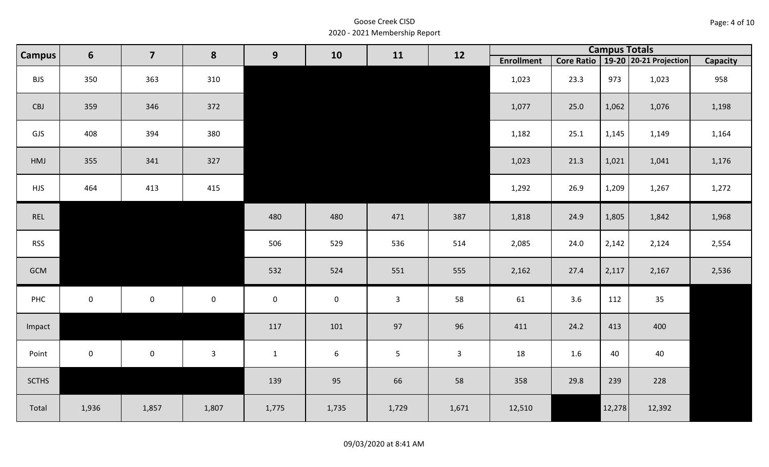|  | Page: 4 of 10 |
|--|---------------|
|--|---------------|

| <b>Campus</b> | $6\phantom{1}$ | $\overline{7}$      | 8            | 9            | 10               | 11             | 12           | <b>Campus Totals</b> |         |        |                                       |                 |  |  |  |  |
|---------------|----------------|---------------------|--------------|--------------|------------------|----------------|--------------|----------------------|---------|--------|---------------------------------------|-----------------|--|--|--|--|
|               |                |                     |              |              |                  |                |              | <b>Enrollment</b>    |         |        | Core Ratio   19-20   20-21 Projection | <b>Capacity</b> |  |  |  |  |
| <b>BJS</b>    | 350            | 363                 | 310          |              |                  |                |              | 1,023                | 23.3    | 973    | 1,023                                 | 958             |  |  |  |  |
| CBJ           | 359            | 346                 | 372          |              |                  |                |              | 1,077                | 25.0    | 1,062  | 1,076                                 | 1,198           |  |  |  |  |
| GJS           | 408            | 394                 | 380          |              |                  |                |              | 1,182                | 25.1    | 1,145  | 1,149                                 | 1,164           |  |  |  |  |
| HMJ           | 355            | 341                 | 327          |              |                  |                |              | 1,023                | 21.3    | 1,021  | 1,041                                 | 1,176           |  |  |  |  |
| <b>HJS</b>    | 464            | 413                 | 415          |              |                  |                |              | 1,292                | 26.9    | 1,209  | 1,267                                 | 1,272           |  |  |  |  |
| REL           |                |                     |              | 480          | 480              | 471            | 387          | 1,818                | 24.9    | 1,805  | 1,842                                 | 1,968           |  |  |  |  |
| <b>RSS</b>    |                |                     |              | 506          | 529              | 536            | 514          | 2,085                | 24.0    | 2,142  | 2,124                                 | 2,554           |  |  |  |  |
| GCM           |                |                     |              | 532          | 524              | 551            | 555          | 2,162                | 27.4    | 2,117  | 2,167                                 | 2,536           |  |  |  |  |
| PHC           | $\mathbf 0$    | $\mathsf{O}\xspace$ | $\mathbf 0$  | $\mathbf 0$  | $\pmb{0}$        | $\mathbf{3}$   | 58           | 61                   | 3.6     | 112    | 35                                    |                 |  |  |  |  |
| Impact        |                |                     |              | 117          | 101              | 97             | 96           | 411                  | 24.2    | 413    | 400                                   |                 |  |  |  |  |
| Point         | $\mathbf{0}$   | $\mathbf{0}$        | $\mathbf{3}$ | $\mathbf{1}$ | $\boldsymbol{6}$ | $5\phantom{.}$ | $\mathbf{3}$ | 18                   | $1.6\,$ | 40     | 40                                    |                 |  |  |  |  |
| <b>SCTHS</b>  |                |                     |              | 139          | 95               | 66             | 58           | 358                  | 29.8    | 239    | 228                                   |                 |  |  |  |  |
| Total         | 1,936          | 1,857               | 1,807        | 1,775        | 1,735            | 1,729          | 1,671        | 12,510               |         | 12,278 | 12,392                                |                 |  |  |  |  |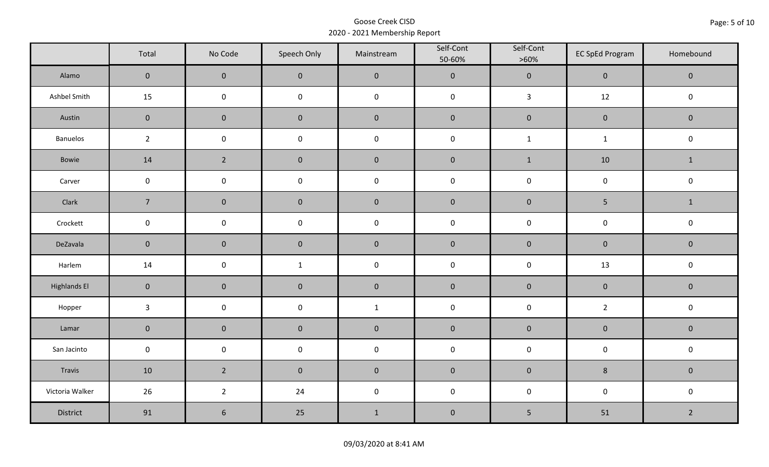|                     | Total          | No Code             | Speech Only  | Mainstream   | Self-Cont<br>50-60% | Self-Cont<br>$>60\%$ | <b>EC SpEd Program</b> | Homebound      |  |
|---------------------|----------------|---------------------|--------------|--------------|---------------------|----------------------|------------------------|----------------|--|
| Alamo               | $\mathbf{0}$   | $\mathbf 0$         | $\pmb{0}$    | $\pmb{0}$    | $\pmb{0}$           | $\pmb{0}$            | $\pmb{0}$              | $\pmb{0}$      |  |
| Ashbel Smith        | 15             | $\mathsf 0$         | $\pmb{0}$    | $\pmb{0}$    | $\pmb{0}$           | $\mathbf{3}$         | 12                     | $\pmb{0}$      |  |
| Austin              | $\mathbf 0$    | $\mathsf{O}\xspace$ | $\mathbf 0$  | $\pmb{0}$    | $\pmb{0}$           | $\pmb{0}$            | $\pmb{0}$              | $\mathbf 0$    |  |
| Banuelos            | $2^{\circ}$    | $\pmb{0}$           | $\pmb{0}$    | $\pmb{0}$    | $\pmb{0}$           | $\mathbf 1$          | $\mathbf{1}$           | $\pmb{0}$      |  |
| Bowie               | 14             | $\overline{2}$      | $\mathbf 0$  | $\pmb{0}$    | $\pmb{0}$           | $\mathbf 1$          | 10                     | $\mathbf{1}$   |  |
| Carver              | $\mathbf 0$    | $\mathsf 0$         | $\pmb{0}$    | $\pmb{0}$    | $\mathsf 0$         | $\mathsf 0$          | $\mathsf 0$            | $\mathsf 0$    |  |
| Clark               | $\overline{7}$ | $\mathbf 0$         | $\mathbf 0$  | $\pmb{0}$    | $\pmb{0}$           | $\pmb{0}$            | 5                      | $\mathbf{1}$   |  |
| Crockett            | $\mathbf 0$    | $\pmb{0}$           | $\pmb{0}$    | $\pmb{0}$    | $\pmb{0}$           | $\pmb{0}$            | $\pmb{0}$              | $\pmb{0}$      |  |
| DeZavala            | $\mathbf 0$    | $\mathbf 0$         | $\mathbf 0$  | $\pmb{0}$    | $\pmb{0}$           | $\pmb{0}$            | $\pmb{0}$              | $\mathbf 0$    |  |
| Harlem              | 14             | $\mathsf 0$         | $\mathbf{1}$ | $\pmb{0}$    | $\pmb{0}$           | $\pmb{0}$            | 13                     | $\pmb{0}$      |  |
| <b>Highlands El</b> | $\mathbf 0$    | $\pmb{0}$           | $\pmb{0}$    | $\pmb{0}$    | $\pmb{0}$           | $\pmb{0}$            | $\pmb{0}$              | $\pmb{0}$      |  |
| Hopper              | $\mathbf{3}$   | $\pmb{0}$           | $\pmb{0}$    | $\mathbf{1}$ | $\pmb{0}$           | $\pmb{0}$            | $\overline{2}$         | $\pmb{0}$      |  |
| Lamar               | $\mathbf 0$    | $\mathbf 0$         | $\mathbf 0$  | $\pmb{0}$    | $\pmb{0}$           | $\pmb{0}$            | $\pmb{0}$              | $\mathbf 0$    |  |
| San Jacinto         | $\mathbf 0$    | $\pmb{0}$           | $\mathbf 0$  | $\pmb{0}$    | $\pmb{0}$           | $\pmb{0}$            | $\pmb{0}$              | $\pmb{0}$      |  |
| Travis              | 10             | $\overline{2}$      | $\mathbf 0$  | $\pmb{0}$    | $\pmb{0}$           | $\pmb{0}$            | $\bf 8$                | $\mathbf 0$    |  |
| Victoria Walker     | 26             | $\overline{2}$      | 24           | $\pmb{0}$    | $\pmb{0}$           | $\pmb{0}$            | $\pmb{0}$              | $\pmb{0}$      |  |
| District            | 91             | $\sqrt{6}$          | 25           | $1\,$        | $\pmb{0}$           | 5                    | 51                     | $\overline{2}$ |  |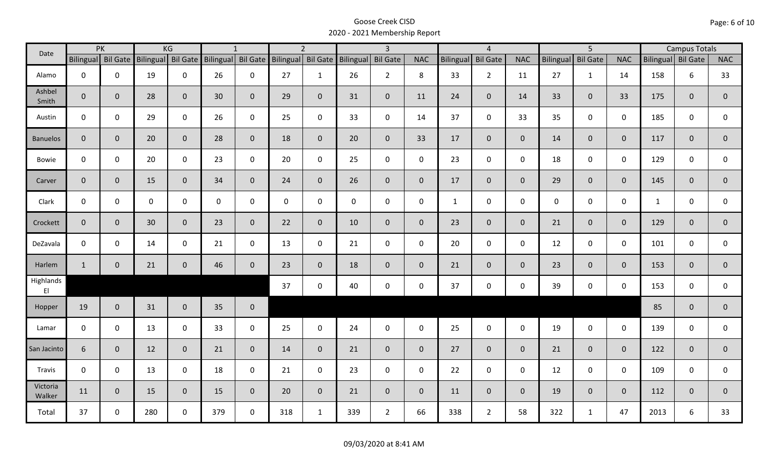| Date               |                    | PK           |             | KG                 |                    | $\mathbf{1}$ |                  | $\overline{2}$ |                    | $\overline{3}$  |                |                  | $\overline{4}$  |                |                  | $\overline{5}$  |                |                    | <b>Campus Totals</b> |                |
|--------------------|--------------------|--------------|-------------|--------------------|--------------------|--------------|------------------|----------------|--------------------|-----------------|----------------|------------------|-----------------|----------------|------------------|-----------------|----------------|--------------------|----------------------|----------------|
|                    | Bilingual Bil Gate |              |             | Bilingual Bil Gate | Bilingual Bil Gate |              | <b>Bilingual</b> |                | Bil Gate Bilingual | <b>Bil Gate</b> | <b>NAC</b>     | <b>Bilingual</b> | <b>Bil Gate</b> | <b>NAC</b>     | <b>Bilingual</b> | <b>Bil Gate</b> | <b>NAC</b>     | Bilingual Bil Gate |                      | <b>NAC</b>     |
| Alamo              | $\mathbf{0}$       | $\mathbf 0$  | 19          | $\mathbf 0$        | 26                 | $\mathbf 0$  | 27               | $\mathbf{1}$   | 26                 | $2^{\circ}$     | 8              | 33               | $2^{\circ}$     | 11             | 27               | $\mathbf{1}$    | 14             | 158                | 6                    | 33             |
| Ashbel<br>Smith    | $\mathbf{0}$       | $\mathbf 0$  | 28          | $\mathbf{0}$       | 30                 | $\mathbf 0$  | 29               | $\overline{0}$ | 31                 | $\mathbf{0}$    | 11             | 24               | $\overline{0}$  | 14             | 33               | $\mathbf{0}$    | 33             | 175                | $\mathbf 0$          | $\mathbf{0}$   |
| Austin             | $\mathbf 0$        | $\mathbf 0$  | 29          | $\mathbf 0$        | 26                 | $\mathbf 0$  | 25               | $\mathbf 0$    | 33                 | $\mathbf 0$     | 14             | 37               | $\mathbf 0$     | 33             | 35               | $\mathbf{0}$    | $\mathbf 0$    | 185                | $\mathbf 0$          | $\mathbf 0$    |
| <b>Banuelos</b>    | $\overline{0}$     | $\mathbf{0}$ | 20          | $\overline{0}$     | 28                 | $\mathbf 0$  | 18               | $\overline{0}$ | 20                 | $\overline{0}$  | 33             | 17               | $\overline{0}$  | $\mathbf{0}$   | 14               | $\overline{0}$  | $\overline{0}$ | 117                | $\mathbf{0}$         | $\mathbf 0$    |
| Bowie              | $\mathbf 0$        | $\mathbf 0$  | 20          | $\mathbf 0$        | 23                 | $\mathbf 0$  | 20               | $\mathbf 0$    | 25                 | $\mathbf 0$     | $\mathsf{O}$   | 23               | $\mathbf 0$     | $\mathsf{O}$   | 18               | $\mathbf{0}$    | $\mathbf 0$    | 129                | $\mathbf 0$          | 0              |
| Carver             | $\mathbf{0}$       | $\mathbf 0$  | 15          | $\mathbf{0}$       | 34                 | $\mathbf{0}$ | 24               | $\overline{0}$ | 26                 | $\overline{0}$  | $\overline{0}$ | 17               | $\overline{0}$  | $\overline{0}$ | 29               | $\mathbf{0}$    | $\overline{0}$ | 145                | $\mathbf{0}$         | $\mathbf 0$    |
| Clark              | $\mathbf 0$        | $\mathbf 0$  | $\mathbf 0$ | $\mathbf 0$        | $\mathbf 0$        | $\mathbf 0$  | $\mathbf 0$      | $\mathbf 0$    | $\mathsf{O}$       | $\mathbf 0$     | $\mathbf 0$    | $\mathbf{1}$     | $\mathbf 0$     | $\mathbf 0$    | $\mathbf 0$      | $\overline{0}$  | $\mathbf 0$    | $\mathbf{1}$       | $\mathbf 0$          | $\mathsf{O}$   |
| Crockett           | $\mathbf{0}$       | $\mathbf{0}$ | 30          | $\mathbf{0}$       | 23                 | $\mathbf{0}$ | 22               | $\mathbf 0$    | 10                 | $\mathbf{0}$    | $\mathbf{0}$   | 23               | $\overline{0}$  | $\overline{0}$ | 21               | $\overline{0}$  | $\overline{0}$ | 129                | $\mathbf{0}$         | $\mathbf 0$    |
| DeZavala           | $\mathbf 0$        | $\mathbf 0$  | 14          | $\mathbf 0$        | 21                 | $\mathbf 0$  | 13               | $\mathbf 0$    | 21                 | $\mathbf 0$     | $\mathbf 0$    | 20               | $\mathbf 0$     | $\mathbf{0}$   | 12               | $\mathbf 0$     | $\mathbf 0$    | 101                | $\mathbf 0$          | 0              |
| Harlem             | $\mathbf{1}$       | $\mathbf{0}$ | 21          | $\mathbf{0}$       | 46                 | $\mathbf 0$  | 23               | $\overline{0}$ | 18                 | $\mathbf{0}$    | $\mathbf{0}$   | 21               | $\overline{0}$  | $\overline{0}$ | 23               | $\overline{0}$  | $\overline{0}$ | 153                | $\mathbf{0}$         | $\overline{0}$ |
| Highlands<br>E1    |                    |              |             |                    |                    |              | 37               | $\mathbf 0$    | 40                 | $\mathbf 0$     | $\mathsf{O}$   | 37               | $\mathbf 0$     | $\mathsf{O}$   | 39               | $\mathbf 0$     | $\mathbf 0$    | 153                | $\mathbf 0$          | $\mathbf{0}$   |
| Hopper             | 19                 | $\mathbf{0}$ | 31          | $\overline{0}$     | 35                 | $\mathbf 0$  |                  |                |                    |                 |                |                  |                 |                |                  |                 |                | 85                 | $\mathbf{0}$         | $\overline{0}$ |
| Lamar              | $\mathbf 0$        | $\mathbf{0}$ | 13          | $\mathbf 0$        | 33                 | $\mathbf 0$  | 25               | $\mathbf 0$    | 24                 | $\mathbf 0$     | $\mathbf 0$    | 25               | $\mathbf 0$     | $\mathbf 0$    | 19               | $\mathbf 0$     | $\mathbf 0$    | 139                | $\mathbf 0$          | 0              |
| San Jacinto        | 6                  | $\mathbf 0$  | 12          | $\mathbf{0}$       | 21                 | $\mathbf 0$  | 14               | $\overline{0}$ | 21                 | $\overline{0}$  | $\overline{0}$ | 27               | $\overline{0}$  | $\overline{0}$ | 21               | $\overline{0}$  | $\mathbf{0}$   | 122                | $\mathbf{0}$         | $\overline{0}$ |
| Travis             | $\mathbf 0$        | $\mathbf 0$  | 13          | $\mathbf 0$        | 18                 | $\mathbf 0$  | 21               | $\mathbf 0$    | 23                 | $\mathbf 0$     | $\mathbf 0$    | 22               | $\mathbf 0$     | $\mathsf{O}$   | 12               | $\mathbf 0$     | $\mathbf 0$    | 109                | $\mathbf 0$          | 0              |
| Victoria<br>Walker | 11                 | $\mathbf{0}$ | 15          | $\mathbf{0}$       | 15                 | $\mathbf{0}$ | 20               | $\overline{0}$ | 21                 | $\overline{0}$  | $\mathbf{0}$   | 11               | $\overline{0}$  | $\overline{0}$ | 19               | $\overline{0}$  | $\overline{0}$ | 112                | $\mathbf{0}$         | $\mathbf{0}$   |
| Total              | 37                 | 0            | 280         | $\mathbf 0$        | 379                | $\mathbf 0$  | 318              | $\mathbf{1}$   | 339                | $2^{\circ}$     | 66             | 338              | $\overline{2}$  | 58             | 322              | $\mathbf{1}$    | 47             | 2013               | 6                    | 33             |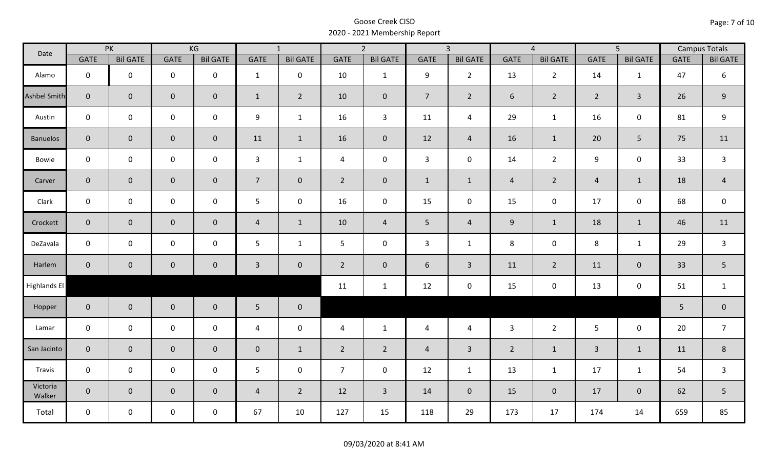| Date                |                | PK              |                     | KG              |                | $\overline{1}$  |                | $\overline{2}$  |                | $\overline{3}$  |                | $\overline{4}$  |                | $\overline{5}$      |             | <b>Campus Totals</b> |
|---------------------|----------------|-----------------|---------------------|-----------------|----------------|-----------------|----------------|-----------------|----------------|-----------------|----------------|-----------------|----------------|---------------------|-------------|----------------------|
|                     | <b>GATE</b>    | <b>Bil GATE</b> | <b>GATE</b>         | <b>Bil GATE</b> | <b>GATE</b>    | <b>Bil GATE</b> | <b>GATE</b>    | <b>Bil GATE</b> | <b>GATE</b>    | <b>Bil GATE</b> | <b>GATE</b>    | <b>Bil GATE</b> | <b>GATE</b>    | <b>Bil GATE</b>     | <b>GATE</b> | <b>Bil GATE</b>      |
| Alamo               | $\mathbf 0$    | $\mathbf 0$     | $\mathbf 0$         | $\mathbf 0$     | $\mathbf{1}$   | $\mathbf 0$     | 10             | $\mathbf{1}$    | 9              | $2^{\circ}$     | 13             | $\overline{2}$  | 14             | $\mathbf{1}$        | 47          | $\boldsymbol{6}$     |
| <b>Ashbel Smith</b> | $\mathbf{0}$   | $\overline{0}$  | $\mathbf 0$         | $\mathbf{0}$    | $\mathbf{1}$   | $\overline{2}$  | 10             | $\mathbf{0}$    | $\overline{7}$ | $\overline{2}$  | 6              | $\overline{2}$  | $\overline{2}$ | $\mathbf{3}$        | 26          | $9\,$                |
| Austin              | $\mathbf 0$    | $\mathbf 0$     | $\mathsf{O}\xspace$ | $\mathbf 0$     | 9              | $\mathbf{1}$    | 16             | $\mathbf{3}$    | 11             | $\overline{4}$  | 29             | $\mathbf{1}$    | 16             | $\mathbf 0$         | 81          | $\boldsymbol{9}$     |
| <b>Banuelos</b>     | $\overline{0}$ | $\mathbf 0$     | $\pmb{0}$           | $\overline{0}$  | 11             | $\mathbf{1}$    | 16             | $\mathbf{0}$    | 12             | $\overline{4}$  | 16             | $\mathbf{1}$    | 20             | 5                   | 75          | 11                   |
| Bowie               | $\mathbf 0$    | $\mathbf 0$     | $\mathsf{O}\xspace$ | $\mathbf 0$     | $\mathbf{3}$   | $\mathbf{1}$    | $\overline{4}$ | $\mathbf 0$     | $\mathbf{3}$   | $\mathbf 0$     | 14             | $2^{\circ}$     | 9              | $\mathbf 0$         | 33          | $\overline{3}$       |
| Carver              | $\overline{0}$ | $\mathbf 0$     | $\pmb{0}$           | $\mathbf{0}$    | $\overline{7}$ | $\overline{0}$  | $2^{\circ}$    | $\pmb{0}$       | $\mathbf{1}$   | $\mathbf{1}$    | $\overline{4}$ | $\overline{2}$  | $\overline{4}$ | $\mathbf{1}$        | 18          | $\overline{4}$       |
| Clark               | $\mathbf 0$    | $\mathbf 0$     | $\mathbf 0$         | 0               | 5              | $\mathbf 0$     | 16             | $\mathbf 0$     | 15             | $\mathbf 0$     | 15             | $\mathsf{O}$    | 17             | $\mathbf 0$         | 68          | $\mathsf 0$          |
| Crockett            | $\overline{0}$ | $\mathbf 0$     | $\mathbf 0$         | $\mathbf{0}$    | $\overline{4}$ | $\mathbf{1}$    | 10             | $\overline{4}$  | 5              | $\overline{4}$  | 9              | $\mathbf{1}$    | 18             | $\mathbf{1}$        | 46          | 11                   |
| DeZavala            | $\mathbf 0$    | $\mathbf 0$     | $\mathsf{O}\xspace$ | $\mathbf 0$     | 5              | $\mathbf{1}$    | 5              | $\mathbf 0$     | 3              | $\mathbf{1}$    | 8              | 0               | 8              | $\mathbf{1}$        | 29          | $\mathsf{3}$         |
| Harlem              | $\overline{0}$ | $\mathbf 0$     | $\mathbf 0$         | $\mathbf{0}$    | $\mathbf{3}$   | $\mathbf 0$     | $\overline{2}$ | $\mathbf{0}$    | 6              | $\mathbf{3}$    | 11             | $\overline{2}$  | 11             | $\mathbf 0$         | 33          | 5                    |
| Highlands El        |                |                 |                     |                 |                |                 | 11             | $\mathbf{1}$    | 12             | $\mathbf 0$     | 15             | 0               | 13             | $\mathsf{O}\xspace$ | 51          | $\mathbf{1}$         |
| Hopper              | $\overline{0}$ | $\overline{0}$  | $\mathbf 0$         | $\overline{0}$  | $5\phantom{.}$ | $\overline{0}$  |                |                 |                |                 |                |                 |                |                     | 5           | $\pmb{0}$            |
| Lamar               | $\mathbf 0$    | $\mathbf 0$     | $\mathsf{O}\xspace$ | $\mathbf 0$     | $\overline{4}$ | $\mathbf 0$     | $\overline{4}$ | $\mathbf{1}$    | $\overline{4}$ | $\overline{4}$  | $\overline{3}$ | $2^{\circ}$     | 5 <sup>5</sup> | $\mathbf 0$         | 20          | $\overline{7}$       |
| San Jacinto         | $\mathbf{0}$   | $\mathbf{0}$    | $\mathbf 0$         | $\mathbf{0}$    | $\mathbf 0$    | $\mathbf{1}$    | $\overline{2}$ | $2^{\circ}$     | $\overline{4}$ | $\overline{3}$  | $\overline{2}$ | $\mathbf{1}$    | $\overline{3}$ | $\mathbf{1}$        | 11          | 8                    |
| Travis              | $\mathbf 0$    | $\mathbf 0$     | $\mathbf 0$         | $\mathbf 0$     | 5              | $\mathbf 0$     | $\overline{7}$ | $\mathbf 0$     | 12             | $\mathbf{1}$    | 13             | $\mathbf{1}$    | 17             | $\mathbf{1}$        | 54          | $\overline{3}$       |
| Victoria<br>Walker  | $\overline{0}$ | $\mathbf 0$     | $\mathbf 0$         | $\mathbf 0$     | $\overline{4}$ | $\overline{2}$  | 12             | $\overline{3}$  | 14             | $\overline{0}$  | 15             | $\mathbf 0$     | 17             | $\mathbf 0$         | 62          | 5                    |
| Total               | $\mathbf 0$    | $\mathbf 0$     | $\mathbf 0$         | $\mathbf 0$     | 67             | 10              | 127            | 15              | 118            | 29              | 173            | 17              | 174            | 14                  | 659         | 85                   |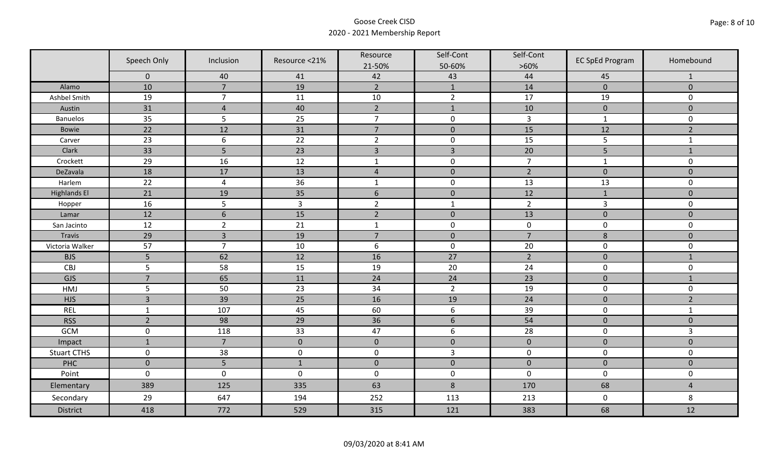|                     | Speech Only    | Inclusion        | Resource <21% | Resource         | Self-Cont        | Self-Cont      | <b>EC SpEd Program</b> | Homebound           |
|---------------------|----------------|------------------|---------------|------------------|------------------|----------------|------------------------|---------------------|
|                     | $\mathbf 0$    | 40               | 41            | 21-50%<br>42     | 50-60%<br>43     | $>60\%$<br>44  | 45                     | $\mathbf{1}$        |
| Alamo               | 10             | $\overline{7}$   | 19            | $\overline{2}$   | $\mathbf{1}$     | 14             | $\pmb{0}$              | $\mathbf 0$         |
| Ashbel Smith        | 19             | $\overline{7}$   | 11            | $10\,$           | $\overline{2}$   | 17             | 19                     | 0                   |
| Austin              | 31             | $\overline{4}$   | 40            | $\overline{2}$   | $\mathbf{1}$     | 10             | $\pmb{0}$              | $\mathbf 0$         |
| <b>Banuelos</b>     | 35             | 5                | 25            | $\overline{7}$   | $\pmb{0}$        | $\overline{3}$ | $\mathbf 1$            | $\mathbf 0$         |
| Bowie               | 22             | 12               | 31            | $\overline{7}$   | $\pmb{0}$        | 15             | 12                     | $\overline{2}$      |
| Carver              | 23             | $\boldsymbol{6}$ | 22            | $\overline{2}$   | $\pmb{0}$        | 15             | 5                      | $\mathbf{1}$        |
| Clark               | 33             | 5                | 23            | $\overline{3}$   | $\overline{3}$   | 20             | 5                      | $1\,$               |
| Crockett            | 29             | 16               | 12            | $\mathbf{1}$     | $\pmb{0}$        | $\overline{7}$ | $\mathbf{1}$           | $\mathsf{O}\xspace$ |
| DeZavala            | 18             | 17               | 13            | $\sqrt{4}$       | $\pmb{0}$        | $\overline{2}$ | $\pmb{0}$              | $\pmb{0}$           |
| Harlem              | 22             | $\overline{4}$   | 36            | $\mathbf{1}$     | $\pmb{0}$        | 13             | 13                     | 0                   |
| <b>Highlands El</b> | 21             | 19               | 35            | $\sqrt{6}$       | $\pmb{0}$        | 12             | $\mathbf{1}$           | $\mathbf 0$         |
| Hopper              | 16             | 5                | $\mathbf{3}$  | $\overline{2}$   | $\mathbf{1}$     | $\overline{2}$ | $\mathsf{3}$           | 0                   |
| Lamar               | 12             | $6\,$            | 15            | $\overline{2}$   | $\mathbf 0$      | 13             | $\mathbf 0$            | $\mathbf 0$         |
| San Jacinto         | 12             | $\overline{2}$   | 21            | $\mathbf{1}$     | $\pmb{0}$        | $\pmb{0}$      | $\pmb{0}$              | 0                   |
| <b>Travis</b>       | 29             | $\overline{3}$   | 19            | $\overline{7}$   | $\pmb{0}$        | $\overline{7}$ | $\bf 8$                | $\overline{0}$      |
| Victoria Walker     | 57             | $\overline{7}$   | 10            | $\boldsymbol{6}$ | $\pmb{0}$        | 20             | $\pmb{0}$              | 0                   |
| <b>BJS</b>          | 5              | 62               | 12            | 16               | 27               | $\overline{2}$ | $\pmb{0}$              | $\mathbf{1}$        |
| CBJ                 | 5              | 58               | 15            | 19               | 20               | 24             | $\pmb{0}$              | 0                   |
| GJS                 | $\overline{7}$ | 65               | 11            | 24               | 24               | 23             | $\pmb{0}$              | $\mathbf{1}$        |
| HMJ                 | 5              | 50               | 23            | 34               | $\overline{2}$   | 19             | $\pmb{0}$              | 0                   |
| <b>HJS</b>          | $\overline{3}$ | 39               | 25            | 16               | 19               | 24             | $\mathbf 0$            | $\overline{2}$      |
| <b>REL</b>          | $\mathbf{1}$   | 107              | 45            | 60               | $\boldsymbol{6}$ | 39             | $\pmb{0}$              | $\mathbf{1}$        |
| <b>RSS</b>          | $\overline{2}$ | 98               | 29            | 36               | $6\,$            | 54             | $\pmb{0}$              | $\mathbf{0}$        |
| GCM                 | $\mathsf 0$    | 118              | 33            | 47               | $\boldsymbol{6}$ | 28             | $\pmb{0}$              | $\overline{3}$      |
| Impact              | $\mathbf 1$    | $\overline{7}$   | $\mathbf 0$   | $\mathbf 0$      | $\pmb{0}$        | $\pmb{0}$      | $\pmb{0}$              | $\mathsf{O}\xspace$ |
| <b>Stuart CTHS</b>  | $\mathbf 0$    | 38               | $\mathbf 0$   | $\boldsymbol{0}$ | 3                | $\pmb{0}$      | $\pmb{0}$              | 0                   |
| PHC                 | $\mathbf 0$    | 5                | $1\,$         | $\pmb{0}$        | $\pmb{0}$        | $\pmb{0}$      | $\pmb{0}$              | $\overline{0}$      |
| Point               | $\mathbf 0$    | $\mathbf 0$      | $\mathbf 0$   | $\mathbf 0$      | $\pmb{0}$        | $\mathbf 0$    | $\mathbf 0$            | 0                   |
| Elementary          | 389            | 125              | 335           | 63               | $\,8$            | 170            | 68                     | $\overline{4}$      |
| Secondary           | 29             | 647              | 194           | 252              | 113              | 213            | $\mathbf 0$            | 8                   |
| District            | 418            | 772              | 529           | 315              | 121              | 383            | 68                     | 12                  |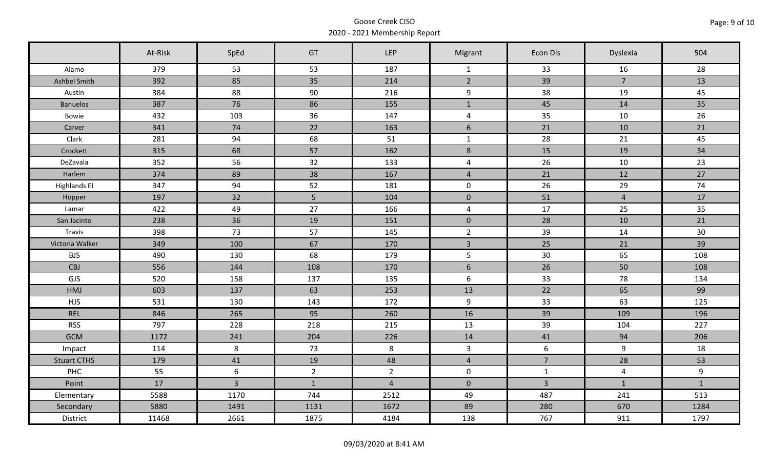|                     | At-Risk | SpEd           | GT             | <b>LEP</b>     | Migrant             | <b>Econ Dis</b> | Dyslexia       | 504          |
|---------------------|---------|----------------|----------------|----------------|---------------------|-----------------|----------------|--------------|
| Alamo               | 379     | 53             | 53             | 187            | $\mathbf{1}$        | 33              | 16             | 28           |
| Ashbel Smith        | 392     | 85             | 35             | 214            | $2^{\circ}$         | 39              | $\overline{7}$ | 13           |
| Austin              | 384     | 88             | 90             | 216            | 9                   | 38              | 19             | 45           |
| <b>Banuelos</b>     | 387     | 76             | 86             | 155            | $\mathbf{1}$        | 45              | 14             | 35           |
| Bowie               | 432     | 103            | 36             | 147            | $\overline{4}$      | 35              | 10             | 26           |
| Carver              | 341     | 74             | 22             | 163            | $6\,$               | 21              | 10             | 21           |
| Clark               | 281     | 94             | 68             | 51             | $\mathbf{1}$        | 28              | 21             | 45           |
| Crockett            | 315     | 68             | 57             | 162            | $\,8\,$             | 15              | 19             | 34           |
| DeZavala            | 352     | 56             | 32             | 133            | $\overline{4}$      | 26              | 10             | 23           |
| Harlem              | 374     | 89             | 38             | 167            | $\overline{4}$      | 21              | 12             | 27           |
| <b>Highlands El</b> | 347     | 94             | 52             | 181            | $\mathbf 0$         | 26              | 29             | 74           |
| Hopper              | 197     | 32             | 5 <sub>1</sub> | 104            | $\mathsf{O}\xspace$ | 51              | $\overline{4}$ | 17           |
| Lamar               | 422     | 49             | 27             | 166            | $\overline{4}$      | 17              | 25             | 35           |
| San Jacinto         | 238     | 36             | 19             | 151            | $\mathbf{0}$        | 28              | 10             | 21           |
| Travis              | 398     | 73             | 57             | 145            | $2^{\circ}$         | 39              | 14             | 30           |
| Victoria Walker     | 349     | 100            | 67             | 170            | $\overline{3}$      | 25              | 21             | 39           |
| <b>BJS</b>          | 490     | 130            | 68             | 179            | 5                   | 30              | 65             | 108          |
| <b>CBJ</b>          | 556     | 144            | 108            | 170            | 6                   | 26              | 50             | 108          |
| GJS                 | 520     | 158            | 137            | 135            | $6\,$               | 33              | 78             | 134          |
| HMJ                 | 603     | 137            | 63             | 253            | 13                  | 22              | 65             | 99           |
| <b>HJS</b>          | 531     | 130            | 143            | 172            | 9                   | 33              | 63             | 125          |
| <b>REL</b>          | 846     | 265            | 95             | 260            | 16                  | 39              | 109            | 196          |
| <b>RSS</b>          | 797     | 228            | 218            | 215            | 13                  | 39              | 104            | 227          |
| <b>GCM</b>          | 1172    | 241            | 204            | 226            | 14                  | 41              | 94             | 206          |
| Impact              | 114     | 8              | 73             | 8              | $\overline{3}$      | 6               | 9              | 18           |
| <b>Stuart CTHS</b>  | 179     | 41             | 19             | 48             | $\overline{4}$      | $\overline{7}$  | 28             | 53           |
| <b>PHC</b>          | 55      | 6              | $\overline{2}$ | $\overline{2}$ | $\mathbf 0$         | $\mathbf{1}$    | $\overline{4}$ | $9\,$        |
| Point               | 17      | $\overline{3}$ | $\mathbf{1}$   | $\overline{4}$ | $\overline{0}$      | $\overline{3}$  | $\mathbf{1}$   | $\mathbf{1}$ |
| Elementary          | 5588    | 1170           | 744            | 2512           | 49                  | 487             | 241            | 513          |
| Secondary           | 5880    | 1491           | 1131           | 1672           | 89                  | 280             | 670            | 1284         |
| District            | 11468   | 2661           | 1875           | 4184           | 138                 | 767             | 911            | 1797         |